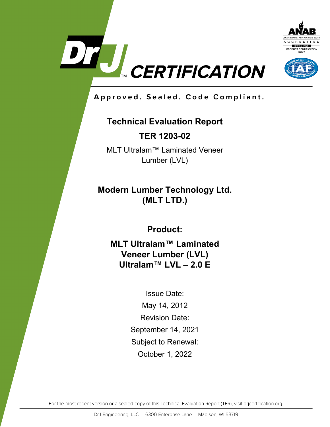



Approved. Sealed. Code Compliant.

# **Technical Evaluation Report**

**TER 1203-02**

MLT Ultralam™ Laminated Veneer Lumber (LVL)

**Modern Lumber Technology Ltd. (MLT LTD.)**

**Product:**

**MLT Ultralam™ Laminated Veneer Lumber (LVL) Ultralam™ LVL – 2.0 E**

> Issue Date: May 14, 2012 Revision Date: September 14, 2021 Subject to Renewal: October 1, 2022

For the most recent version or a sealed copy of this Technical Evaluation Report (TER), visit drjcertification.org.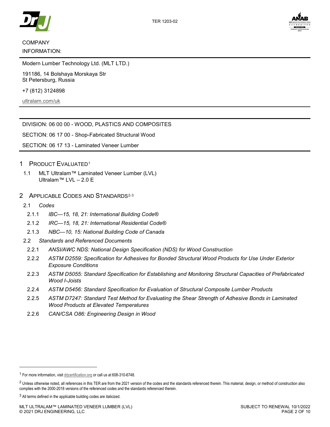

# COMPANY INFORMATION:

Modern Lumber Technology Ltd. (MLT LTD.)

191186, 14 Bolshaya Morskaya Str St Petersburg, Russia

+7 (812) 3124898

ultralam.com/uk

#### DIVISION: 06 00 00 - WOOD, PLASTICS AND COMPOSITES

SECTION: 06 17 00 - Shop-Fabricated Structural Wood

SECTION: 06 17 13 - Laminated Veneer Lumber

#### 1 PRODUCT EVALUATED1

- 1.1 MLT Ultralam™ Laminated Veneer Lumber (LVL) Ultralam™ LVL – 2.0 E
- 2 APPLICABLE CODES AND STANDARDS<sup>2,3</sup>
- 2.1 *Codes*

-

- 2.1.1 *IBC—15, 18, 21: International Building Code®*
- 2.1.2 *IRC—15, 18, 21: International Residential Code®*
- 2.1.3 *NBC—10, 15: National Building Code of Canada*
- 2.2 *Standards and Referenced Documents*
	- 2.2.1 *ANSI/AWC NDS: National Design Specification (NDS) for Wood Construction*
	- 2.2.2 *ASTM D2559: Specification for Adhesives for Bonded Structural Wood Products for Use Under Exterior Exposure Conditions*
	- 2.2.3 *ASTM D5055: Standard Specification for Establishing and Monitoring Structural Capacities of Prefabricated Wood I-Joists*
	- 2.2.4 *ASTM D5456: Standard Specification for Evaluation of Structural Composite Lumber Products*
	- 2.2.5 *ASTM D7247: Standard Test Method for Evaluating the Shear Strength of Adhesive Bonds in Laminated Wood Products at Elevated Temperatures*
	- 2.2.6 *CAN/CSA O86: Engineering Design in Wood*

<sup>1</sup> For more information, visit drjcertification.org or call us at 608-310-6748.

<sup>&</sup>lt;sup>2</sup> Unless otherwise noted, all references in this TER are from the 2021 version of the codes and the standards referenced therein. This material, design, or method of construction also complies with the 2000-2018 versions of the referenced codes and the standards referenced therein.

<sup>&</sup>lt;sup>3</sup> All terms defined in the applicable building codes are italicized.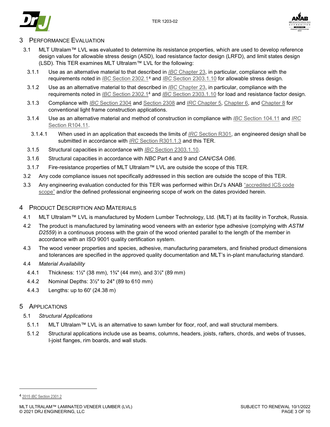



# **PERFORMANCE EVALUATION**

- 3.1 MLT Ultralam™ LVL was evaluated to determine its resistance properties, which are used to develop reference design values for allowable stress design (ASD), load resistance factor design (LRFD), and limit states design (LSD). This TER examines MLT Ultralam™ LVL for the following:
	- 3.1.1 Use as an alternative material to that described in *IBC* Chapter 23, in particular, compliance with the requirements noted in *IBC* Section 2302.14 and *IBC* Section 2303.1.10 for allowable stress design.
	- 3.1.2 Use as an alternative material to that described in *IBC* Chapter 23, in particular, compliance with the requirements noted in *IBC* Section 2302.14 and *IBC* Section 2303.1.10 for load and resistance factor design.
	- 3.1.3 Compliance with *IBC* Section 2304 and Section 2308 and *IRC* Chapter 5, Chapter 6, and Chapter 8 for conventional light frame construction applications.
	- 3.1.4 Use as an alternative material and method of construction in compliance with *IBC* Section 104.11 and *IRC* Section R104.11.
	- 3.1.4.1 When used in an application that exceeds the limits of *IRC* Section R301, an engineered design shall be submitted in accordance with *IRC* Section R301.1.3 and this TER.
	- 3.1.5 Structural capacities in accordance with *IBC* Section 2303.1.10.
	- 3.1.6 Structural capacities in accordance with *NBC* Part 4 and 9 and *CAN/CSA O86*.
- 3.1.7 Fire-resistance properties of MLT Ultralam™ LVL are outside the scope of this TER.
- 3.2 Any code compliance issues not specifically addressed in this section are outside the scope of this TER.
- 3.3 Any engineering evaluation conducted for this TER was performed within DrJ's ANAB "accredited ICS code scope" and/or the defined professional engineering scope of work on the dates provided herein.
- 4 PRODUCT DESCRIPTION AND MATERIALS
	- 4.1 MLT Ultralam™ LVL is manufactured by Modern Lumber Technology, Ltd. (MLT) at its facility in Torzhok, Russia.
	- 4.2 The product is manufactured by laminating wood veneers with an exterior type adhesive (complying with *ASTM D2559*) in a continuous process with the grain of the wood oriented parallel to the length of the member in accordance with an ISO 9001 quality certification system.
	- 4.3 The wood veneer properties and species, adhesive, manufacturing parameters, and finished product dimensions and tolerances are specified in the approved quality documentation and MLT's in-plant manufacturing standard.
	- 4.4 *Material Availability*
		- 4.4.1 Thickness: 1½" (38 mm), 1¾" (44 mm), and 3½" (89 mm)
		- 4.4.2 Nominal Depths: 3½" to 24" (89 to 610 mm)
		- 4.4.3 Lengths: up to 60' (24.38 m)

# 5 APPLICATIONS

- 5.1 *Structural Applications*
	- 5.1.1 MLT Ultralam™ LVL is an alternative to sawn lumber for floor, roof, and wall structural members.
	- 5.1.2 Structural applications include use as beams, columns, headers, joists, rafters, chords, and webs of trusses, I-joist flanges, rim boards, and wall studs.

j

<sup>4</sup> 2015 *IBC* Section 2301.2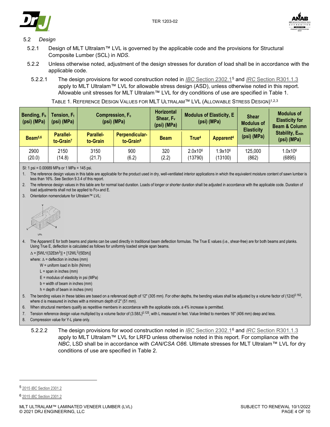



#### 5.2 *Design*

- 5.2.1 Design of MLT Ultralam™ LVL is governed by the applicable code and the provisions for Structural Composite Lumber (SCL) in *NDS*.
- 5.2.2 Unless otherwise noted, adjustment of the design stresses for duration of load shall be in accordance with the applicable code.
- 5.2.2.1 The design provisions for wood construction noted in *IBC* Section 2302.15 and *IRC* Section R301.1.3 apply to MLT Ultralam™ LVL for allowable stress design (ASD), unless otherwise noted in this report. Allowable unit stresses for MLT Ultralam™ LVL for dry conditions of use are specified in Table 1.

| TABLE 1. REFERENCE DESIGN VALUES FOR MLT ULTRALAM™ LVL (ALLOWABLE STRESS DESIGN) <sup>1,2,3</sup> |  |  |
|---------------------------------------------------------------------------------------------------|--|--|
|                                                                                                   |  |  |

| Bending, $F_b$  <br>(psi) (MPa) | Tension, $F_t$<br>$(psi)$ (MPa)    |                              | Compression, F <sub>c</sub><br>(psi) (MPa) | <b>Horizontal</b><br>Shear, $F_v$<br>(psi) (MPa) | <b>Modulus of Elasticity, E</b><br>$(psi)$ (MPa) |                                | <b>Shear</b><br><b>Modulus of</b> | <b>Modulus of</b><br><b>Elasticity for</b><br><b>Beam &amp; Column</b> |  |
|---------------------------------|------------------------------------|------------------------------|--------------------------------------------|--------------------------------------------------|--------------------------------------------------|--------------------------------|-----------------------------------|------------------------------------------------------------------------|--|
| Beam <sup>5,6</sup>             | Parallel-<br>to-Grain <sup>7</sup> | <b>Parallel-</b><br>to-Grain | Perpendicular-<br>to-Grain <sup>8</sup>    | <b>Beam</b>                                      | True <sup>4</sup>                                | Apparent <sup>4</sup>          | <b>Elasticity</b><br>(psi) (MPa)  | <b>Stability, Emin</b><br>(psi) (MPa)                                  |  |
| 2900<br>(20.0)                  | 2150<br>(14.8)                     | 3150<br>(21.7)               | 900<br>(6.2)                               | 320<br>(2.2)                                     | 2.0x10 <sup>6</sup><br>(13790)                   | 1.9x10 <sup>6</sup><br>(13100) | 125,000<br>(862)                  | 1.0x10 <sup>6</sup><br>(6895)                                          |  |

SI: 1 psi = 0.00689 MPa or 1 MPa = 145 psi.

1. The reference design values in this table are applicable for the product used in dry, well-ventilated interior applications in which the equivalent moisture content of sawn lumber is less than 16%. See Section 9.3.4 of this report.

- The reference design values in this table are for normal load duration. Loads of longer or shorter duration shall be adjusted in accordance with the applicable code. Duration of load adjustments shall not be applied to  $Fc \perp$  and  $E$ .
- 3. Orientation nomenclature for Ultralam™ LVL:



4. The Apparent E for both beams and planks can be used directly in traditional beam deflection formulas. The True E values (i.e., shear-free) are for both beams and planks. Using True E, deflection is calculated as follows for uniformly loaded simple span beams.

 $\Delta =$  [5WL<sup>4</sup>/(32Ebh<sup>3</sup>)] + [12WL<sup>2</sup>/(5Ebh)]

where:  $\Lambda$  = deflection in inches (mm)

- W = uniform load in lb/in (N/mm)
	- $L =$ span in inches (mm)
- E = modulus of elasticity in psi (MPa)
- b = width of beam in inches (mm)
- h = depth of beam in inches (mm)
- 5. The bending values in these tables are based on a referenced depth of 12" (305 mm). For other depths, the bending values shall be adjusted by a volume factor of (12/d)<sup>0.162</sup>, where d is measured in inches with a minimum depth of 2" (51 mm).
- 6. When structural members qualify as repetitive members in accordance with the applicable code, a 4% increase is permitted.
- 7. Tension reference design value multiplied by a volume factor of (3.58/L)<sup>0.125</sup>, with L measured in feet. Value limited to members 16" (406 mm) deep and less.
- 8. Compression value for Y-L plane only.
	- 5.2.2.2 The design provisions for wood construction noted in *IBC* Section 2302.16 and *IRC* Section R301.1.3 apply to MLT Ultralam™ LVL for LRFD unless otherwise noted in this report. For compliance with the *NBC*, LSD shall be in accordance with *CAN/CSA O86*. Ultimate stresses for MLT Ultralam™ LVL for dry conditions of use are specified in Table 2.

-

<sup>5</sup> 2015 *IBC* Section 2301.2

<sup>6</sup> 2015 *IBC* Section 2301.2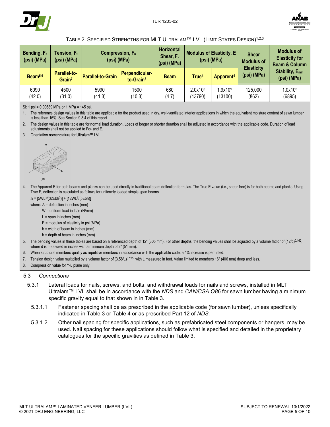



#### TABLE 2. SPECIFIED STRENGTHS FOR MLT ULTRALAM™ LVL (LIMIT STATES DESIGN)1,2,3

| Bending, F <sub>b</sub><br>(psi) (MPa) | Tension, $\mathsf{F}_\mathsf{t}$<br>(psi) (MPa) | Compression, F <sub>c</sub><br>(psi) (MPa) |                                         | <b>Horizontal</b><br>Shear, F <sub>v</sub><br>(psi) (MPa) | <b>Modulus of Elasticity, E</b><br>$(psi)$ (MPa) |                                | <b>Shear</b><br><b>Modulus of</b> | <b>Modulus of</b><br><b>Elasticity for</b><br><b>Beam &amp; Column</b> |
|----------------------------------------|-------------------------------------------------|--------------------------------------------|-----------------------------------------|-----------------------------------------------------------|--------------------------------------------------|--------------------------------|-----------------------------------|------------------------------------------------------------------------|
| Beam <sup>5,6</sup>                    | <b>Parallel-to-</b><br>Grain <sup>7</sup>       | <b>Parallel-to-Grain</b>                   | Perpendicular-<br>to-Grain <sup>8</sup> | <b>Beam</b>                                               | True <sup>4</sup>                                | Apparent <sup>4</sup>          | <b>Elasticity</b><br>(psi) (MPa)  | <b>Stability, Emin</b><br>(psi) (MPa)                                  |
| 6090<br>(42.0)                         | 4500<br>(31.0)                                  | 5990<br>(41.3)                             | 1500<br>(10.3)                          | 680<br>(4.7)                                              | 2.0x106<br>13790)                                | 1.9x10 <sup>9</sup><br>(13100) | 125,000<br>(862)                  | 1.0x106<br>(6895)                                                      |

SI: 1 psi = 0.00689 MPa or 1 MPa = 145 psi.

1. The reference design values in this table are applicable for the product used in dry, well-ventilated interior applications in which the equivalent moisture content of sawn lumber is less than 16%. See Section 9.3.4 of this report.

2. The design values in this table are for normal load duration. Loads of longer or shorter duration shall be adjusted in accordance with the applicable code. Duration of load adjustments shall not be applied to Fc $\texttt{m}$  and E.

3. Orientation nomenclature for Ultralam™ LVL:



4. The Apparent E for both beams and planks can be used directly in traditional beam deflection formulas. The True E value (i.e., shear-free) is for both beams and planks. Using True E, deflection is calculated as follows for uniformly loaded simple span beams.

 $\Delta = [5WL^{4}/(32Ebh^{3})] + [12WL^{2}/(5Ebh)]$ 

where:  $\Delta$  = deflection in inches (mm)

W = uniform load in lb/in (N/mm)

 $L =$ span in inches (mm)

E = modulus of elasticity in psi (MPa)

- b = width of beam in inches (mm)
- h = depth of beam in inches (mm)
- 5. The bending values in these tables are based on a referenced depth of 12" (305 mm). For other depths, the bending values shall be adjusted by a volume factor of (12/d)<sup>0.162</sup>, where d is measured in inches with a minimum depth of 2" (51 mm).
- 6. When structural members qualify as repetitive members in accordance with the applicable code, a 4% increase is permitted.
- 7. Tension design value multiplied by a volume factor of  $(3.58/L)^{0.125}$ , with L measured in feet. Value limited to members 16" (406 mm) deep and less.
- 8. Compression value for Y-L plane only.

#### 5.3 *Connections*

- 5.3.1 Lateral loads for nails, screws, and bolts, and withdrawal loads for nails and screws, installed in MLT Ultralam™ LVL shall be in accordance with the *NDS* and *CAN/CSA O86* for sawn lumber having a minimum specific gravity equal to that shown in in Table 3.
- 5.3.1.1 Fastener spacing shall be as prescribed in the applicable code (for sawn lumber), unless specifically indicated in Table 3 or Table 4 or as prescribed Part 12 of *NDS*.
- 5.3.1.2 Other nail spacing for specific applications, such as prefabricated steel components or hangers, may be used. Nail spacing for these applications should follow what is specified and detailed in the proprietary catalogues for the specific gravities as defined in Table 3.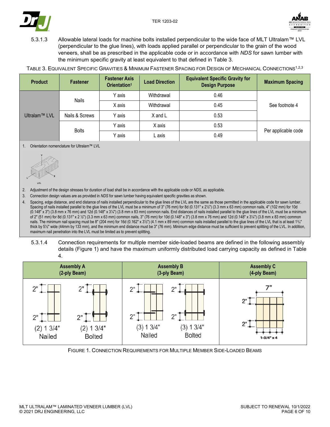



5.3.1.3 Allowable lateral loads for machine bolts installed perpendicular to the wide face of MLT Ultralam™ LVL (perpendicular to the glue lines), with loads applied parallel or perpendicular to the grain of the wood veneers, shall be as prescribed in the applicable code or in accordance with *NDS* for sawn lumber with the minimum specific gravity at least equivalent to that defined in Table 3.

TABLE 3. EQUIVALENT SPECIFIC GRAVITIES & MINIMUM FASTENER SPACING FOR DESIGN OF MECHANICAL CONNECTIONS<sup>1,2,3</sup>

| <b>Product</b> | <b>Fastener</b> | <b>Fastener Axis</b><br>Orientation <sup>1</sup> | <b>Load Direction</b> | <b>Equivalent Specific Gravity for</b><br><b>Design Purpose</b> | <b>Maximum Spacing</b> |  |
|----------------|-----------------|--------------------------------------------------|-----------------------|-----------------------------------------------------------------|------------------------|--|
| Ultralam™ LVL  | <b>Nails</b>    | Y axis                                           | Withdrawal            | 0.46                                                            |                        |  |
|                |                 | X axis                                           | Withdrawal            | 0.45                                                            | See footnote 4         |  |
|                | Nails & Screws  | Y axis                                           | X and L               | 0.53                                                            |                        |  |
|                | <b>Bolts</b>    | Y axis                                           | X axis                | 0.53                                                            |                        |  |
|                |                 | Y axis                                           | L axis                | 0.49                                                            | Per applicable code    |  |

1. Orientation nomenclature for Ultralam™ LVL



2. Adjustment of the design stresses for duration of load shall be in accordance with the applicable code or *NDS*, as applicable.

3. Connection design values are as provided in *NDS* for sawn lumber having equivalent specific gravities as shown.

4. Spacing, edge distance, and end distance of nails installed perpendicular to the glue lines of the LVL are the same as those permitted in the applicable code for sawn lumber. Spacing of nails installed parallel to the glue lines of the LVL must be a minimum of 3" (76 mm) for 8d (0.131" x 21/2") (3.3 mm x 63 mm) common nails, 4" (102 mm) for 10d  $(0.148" \times 3")$  (3.8 mm  $\times$  76 mm) and 12d  $(0.148" \times 3\frac{1}{4})$  (3.8 mm  $\times$  83 mm) common nails. End distances of nails installed parallel to the glue lines of the LVL must be a minimum of 2" (51 mm) for 8d (0.131" x 2 ½") (3.3 mm x 63 mm) common nails, 3" (76 mm) for 10d (0.148" x 3") (3.8 mm x 76 mm) and 12d (0.148" x 3¼") (3.8 mm x 83 mm) common nails. The minimum nail spacing must be 8" (204 mm) for 16d (0.162" x 3½") (4.1 mm x 89 mm) common nails installed parallel to the glue lines of the LVL that is at least 13/4" thick by 5½" wide (44mm by 133 mm), and the minimum end distance must be 3" (76 mm). Minimum edge distance must be sufficient to prevent splitting of the LVL. In addition, maximum nail penetration into the LVL must be limited as to prevent splitting.

5.3.1.4 Connection requirements for multiple member side-loaded beams are defined in the following assembly details (Figure 1) and have the maximum uniformly distributed load carrying capacity as defined in Table 4.



FIGURE 1. CONNECTION REQUIREMENTS FOR MULTIPLE MEMBER SIDE-LOADED BEAMS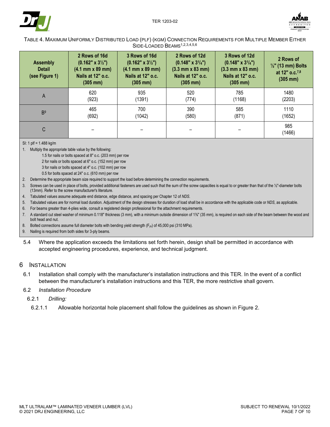



#### TABLE 4. MAXIMUM UNIFORMLY DISTRIBUTED LOAD (PLF) (KGM) CONNECTION REQUIREMENTS FOR MULTIPLE MEMBER EITHER SIDE-LOADED BEAMS1,2,3,4,5,6

| <b>Assembly</b><br><b>Detail</b><br>(see Figure 1) | 2 Rows of 16d<br>$(0.162" \times 3\frac{1}{2})$<br>$(4.1 \, \text{mm} \times 89 \, \text{mm})$<br>Nails at 12" o.c.<br>$(305 \, \text{mm})$ | 3 Rows of 16d<br>$(0.162" \times 3\frac{1}{2})$<br>$(4.1 \, \text{mm} \times 89 \, \text{mm})$<br>Nails at 12" o.c.<br>$(305 \, \text{mm})$ | 2 Rows of 12d<br>$(0.148" \times 3^{1/4})$<br>$(3.3 \, \text{mm} \times 83 \, \text{mm})$<br>Nails at 12" o.c.<br>$(305 \, \text{mm})$ | 3 Rows of 12d<br>$(0.148" \times 3^{1/4})$<br>$(3.3 \, \text{mm} \times 83 \, \text{mm})$<br>Nails at 12" o.c.<br>$(305 \, \text{mm})$ | 2 Rows of<br>$\frac{1}{2}$ " (13 mm) Bolts<br>at 12" o.c. <sup>7,8</sup><br>$(305 \, \text{mm})$ |
|----------------------------------------------------|---------------------------------------------------------------------------------------------------------------------------------------------|---------------------------------------------------------------------------------------------------------------------------------------------|----------------------------------------------------------------------------------------------------------------------------------------|----------------------------------------------------------------------------------------------------------------------------------------|--------------------------------------------------------------------------------------------------|
| A                                                  | 620                                                                                                                                         | 935                                                                                                                                         | 520                                                                                                                                    | 785                                                                                                                                    | 1480                                                                                             |
|                                                    | (923)                                                                                                                                       | (1391)                                                                                                                                      | (774)                                                                                                                                  | (1168)                                                                                                                                 | (2203)                                                                                           |
| B <sup>9</sup>                                     | 465                                                                                                                                         | 700                                                                                                                                         | 390                                                                                                                                    | 585                                                                                                                                    | 1110                                                                                             |
|                                                    | (692)                                                                                                                                       | (1042)                                                                                                                                      | (580)                                                                                                                                  | (871)                                                                                                                                  | (1652)                                                                                           |
| C                                                  |                                                                                                                                             |                                                                                                                                             |                                                                                                                                        |                                                                                                                                        | 985<br>(1466)                                                                                    |

SI: 1 plf = 1.488 kg/m

1. Multiply the appropriate table value by the following:

1.5 for nails or bolts spaced at 8" o.c. (203 mm) per row

2 for nails or bolts spaced at 6" o.c. (152 mm) per row

3 for nails or bolts spaced at 4" o.c. (102 mm) per row

0.5 for bolts spaced at 24" o.c. (610 mm) per row

2. Determine the appropriate beam size required to support the load before determining the connection requirements.

3. Screws can be used in place of bolts, provided additional fasteners are used such that the sum of the screw capacities is equal to or greater than that of the ½"-diameter bolts (13mm). Refer to the screw manufacturer's literature.

4. Tabulated values assume adequate end distance, edge distance, and spacing per Chapter 12 of *NDS*.

5. Tabulated values are for normal load duration. Adjustment of the design stresses for duration of load shall be in accordance with the applicable code or *NDS*, as applicable.

6. For beams greater than 4-plies wide, consult a registered design professional for the attachment requirements.

7. A standard cut steel washer of minimum 0.118" thickness (3 mm), with a minimum outside dimension of 1⅜" (35 mm), is required on each side of the beam between the wood and bolt head and nut.

8. Bolted connections assume full diameter bolts with bending yield strength (F<sub>yb</sub>) of 45,000 psi (310 MPa).

9. Nailing is required from both sides for 3-ply beams.

5.4 Where the application exceeds the limitations set forth herein, design shall be permitted in accordance with accepted engineering procedures, experience, and technical judgment.

#### 6 INSTALLATION

6.1 Installation shall comply with the manufacturer's installation instructions and this TER. In the event of a conflict between the manufacturer's installation instructions and this TER, the more restrictive shall govern.

#### 6.2 *Installation Procedure*

#### 6.2.1 *Drilling:*

6.2.1.1 Allowable horizontal hole placement shall follow the guidelines as shown in Figure 2.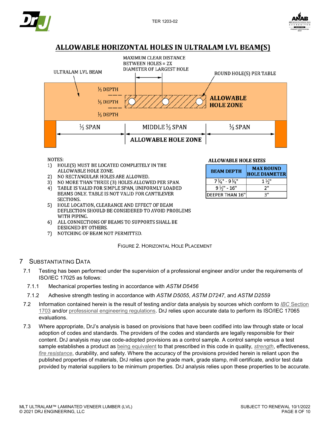



# ALLOWABLE HORIZONTAL HOLES IN ULTRALAM LVL BEAM(S)



**ALLOWABLE HOLE SIZES** 

**BEAM DEPTH** 

 $7\frac{1}{4}$ " - 9 $\frac{1}{4}$ "

 $9\frac{1}{2}$ " - 16"

**DEEPER THAN 16"** 

**MAX ROUND** 

**HOLE DIAMETER** 

 $1\frac{1}{2}$ "

 $2"$ 

З"

**NOTES:** 

- 1) HOLE(S) MUST BE LOCATED COMPLETELY IN THE ALLOWABLE HOLE ZONE.
- NO RECTANGULAR HOLES ARE ALLOWED. 2)
- NO MORE THAN THREE (3) HOLES ALLOWED PER SPAN. 31
- TABLE IS VALID FOR SIMPLE SPAN, UNIFORMLY LOADED 4) BEAMS ONLY. TABLE IS NOT VALID FOR CANTILEVER **SECTIONS.**
- HOLE LOCATION, CLEARANCE AND EFFECT OF BEAM 5) DEFLECTION SHOULD BE CONSIDERED TO AVOID PROBLEMS WITH PIPING.
- ALL CONNECTIONS OF BEAMS TO SUPPORTS SHALL BE 6) DESIGNED BY OTHERS.
- NOTCHING OF BEAM NOT PERMITTED. 7)

#### FIGURE 2. HORIZONTAL HOLE PLACEMENT

# 7 SUBSTANTIATING DATA

- 7.1 Testing has been performed under the supervision of a professional engineer and/or under the requirements of ISO/IEC 17025 as follows:
	- 7.1.1 Mechanical properties testing in accordance with *ASTM D5456*
	- 7.1.2 Adhesive strength testing in accordance with *ASTM D5055*, *ASTM D7247*, and *ASTM D2559*
- 7.2 Information contained herein is the result of testing and/or data analysis by sources which conform to *IBC* Section 1703 and/or professional engineering regulations. DrJ relies upon accurate data to perform its ISO/IEC 17065 evaluations.
- 7.3 Where appropriate, DrJ's analysis is based on provisions that have been codified into law through state or local adoption of codes and standards. The providers of the codes and standards are legally responsible for their content. DrJ analysis may use code-adopted provisions as a control sample. A control sample versus a test sample establishes a product as being equivalent to that prescribed in this code in quality, *strength*, effectiveness, *fire resistance*, durability, and safety. Where the accuracy of the provisions provided herein is reliant upon the published properties of materials, DrJ relies upon the grade mark, grade stamp, mill certificate, and/or test data provided by material suppliers to be minimum properties. DrJ analysis relies upon these properties to be accurate.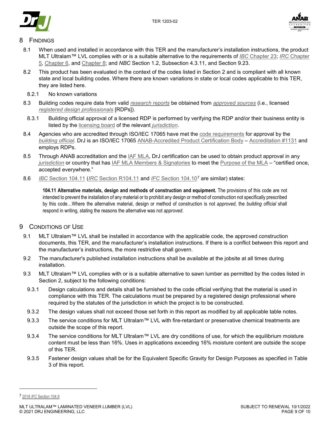



# **FINDINGS**

- 8.1 When used and installed in accordance with this TER and the manufacturer's installation instructions, the product MLT Ultralam™ LVL complies with or is a suitable alternative to the requirements of *IBC* Chapter 23; *IRC* Chapter 5, Chapter 6, and Chapter 8; and *NBC* Section 1.2, Subsection 4.3.11, and Section 9.23.
- 8.2 This product has been evaluated in the context of the codes listed in Section 2 and is compliant with all known state and local building codes. Where there are known variations in state or local codes applicable to this TER, they are listed here.
- 8.2.1 No known variations
- 8.3 Building codes require data from valid *research reports* be obtained from *approved sources* (i.e., licensed *registered design professionals* [RDPs]).
- 8.3.1 Building official approval of a licensed RDP is performed by verifying the RDP and/or their business entity is listed by the licensing board of the relevant *jurisdiction*.
- 8.4 Agencies who are accredited through ISO/IEC 17065 have met the code requirements for approval by the *building official*. DrJ is an ISO/IEC 17065 ANAB-Accredited Product Certification Body – Accreditation #1131 and employs RDPs.
- 8.5 Through ANAB accreditation and the IAF MLA, DrJ certification can be used to obtain product approval in any *jurisdiction* or country that has IAF MLA Members & Signatories to meet the Purpose of the MLA – "certified once, accepted everywhere."
- 8.6 *IBC* Section 104.11 (*IRC* Section R104.11 and *IFC* Section 104.107 are similar) states:

**104.11 Alternative materials, design and methods of construction and equipment.** The provisions of this code are not intended to prevent the installation of any material or to prohibit any design or method of construction not specifically prescribed by this code…Where the alternative material, design or method of construction is not *approved*, the *building official* shall respond in writing, stating the reasons the alternative was not *approved*.

# 9 CONDITIONS OF USE

- 9.1 MLT Ultralam™ LVL shall be installed in accordance with the applicable code, the approved construction documents, this TER, and the manufacturer's installation instructions. If there is a conflict between this report and the manufacturer's instructions, the more restrictive shall govern.
- 9.2 The manufacturer's published installation instructions shall be available at the jobsite at all times during installation.
- 9.3 MLT Ultralam™ LVL complies with or is a suitable alternative to sawn lumber as permitted by the codes listed in Section 2, subject to the following conditions:
- 9.3.1 Design calculations and details shall be furnished to the code official verifying that the material is used in compliance with this TER. The calculations must be prepared by a registered design professional where required by the statutes of the jurisdiction in which the project is to be constructed.
- 9.3.2 The design values shall not exceed those set forth in this report as modified by all applicable table notes.
- 9.3.3 The service conditions for MLT Ultralam™ LVL with fire-retardant or preservative chemical treatments are outside the scope of this report.
- 9.3.4 The service conditions for MLT Ultralam™ LVL are dry conditions of use, for which the equilibrium moisture content must be less than 16%. Uses in applications exceeding 16% moisture content are outside the scope of this TER.
- 9.3.5 Fastener design values shall be for the Equivalent Specific Gravity for Design Purposes as specified in Table 3 of this report.

j

<sup>7</sup> 2018 *IFC* Section 104.9